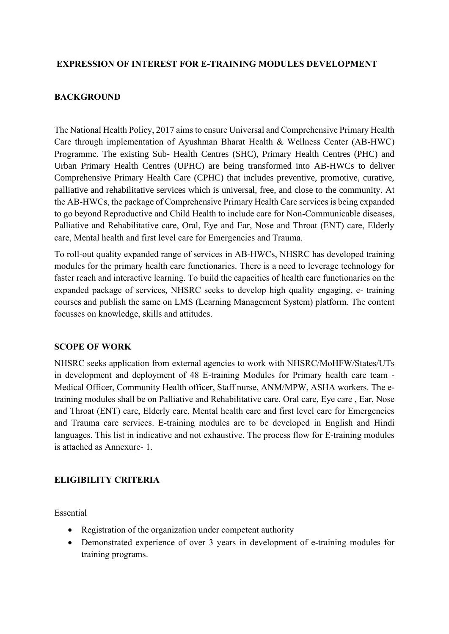#### **EXPRESSION OF INTEREST FOR E-TRAINING MODULES DEVELOPMENT**

#### **BACKGROUND**

The National Health Policy, 2017 aims to ensure Universal and Comprehensive Primary Health Care through implementation of Ayushman Bharat Health & Wellness Center (AB-HWC) Programme. The existing Sub- Health Centres (SHC), Primary Health Centres (PHC) and Urban Primary Health Centres (UPHC) are being transformed into AB-HWCs to deliver Comprehensive Primary Health Care (CPHC) that includes preventive, promotive, curative, palliative and rehabilitative services which is universal, free, and close to the community. At the AB-HWCs, the package of Comprehensive Primary Health Care services is being expanded to go beyond Reproductive and Child Health to include care for Non-Communicable diseases, Palliative and Rehabilitative care, Oral, Eye and Ear, Nose and Throat (ENT) care, Elderly care, Mental health and first level care for Emergencies and Trauma.

To roll-out quality expanded range of services in AB-HWCs, NHSRC has developed training modules for the primary health care functionaries. There is a need to leverage technology for faster reach and interactive learning. To build the capacities of health care functionaries on the expanded package of services, NHSRC seeks to develop high quality engaging, e- training courses and publish the same on LMS (Learning Management System) platform. The content focusses on knowledge, skills and attitudes.

#### **SCOPE OF WORK**

NHSRC seeks application from external agencies to work with NHSRC/MoHFW/States/UTs in development and deployment of 48 E-training Modules for Primary health care team - Medical Officer, Community Health officer, Staff nurse, ANM/MPW, ASHA workers. The etraining modules shall be on Palliative and Rehabilitative care, Oral care, Eye care , Ear, Nose and Throat (ENT) care, Elderly care, Mental health care and first level care for Emergencies and Trauma care services. E-training modules are to be developed in English and Hindi languages. This list in indicative and not exhaustive. The process flow for E-training modules is attached as Annexure- 1.

## **ELIGIBILITY CRITERIA**

Essential

- Registration of the organization under competent authority
- Demonstrated experience of over 3 years in development of e-training modules for training programs.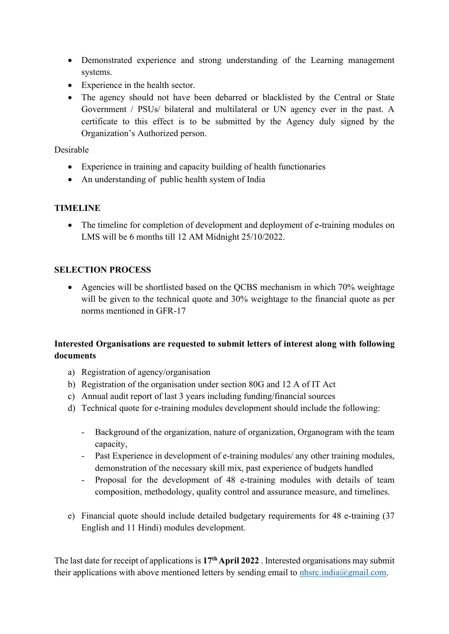- Demonstrated experience and strong understanding of the Learning management systems.
- Experience in the health sector.
- The agency should not have been debarred or blacklisted by the Central or State Government / PSUs/ bilateral and multilateral or UN agency ever in the past. A certificate to this effect is to be submitted by the Agency duly signed by the Organization's Authorized person.

Desirable

- Experience in training and capacity building of health functionaries
- An understanding of public health system of India

## **TIMELINE**

• The timeline for completion of development and deployment of e-training modules on LMS will be 6 months till 12 AM Midnight 25/10/2022.

## **SELECTION PROCESS**

• Agencies will be shortlisted based on the QCBS mechanism in which 70% weightage will be given to the technical quote and 30% weightage to the financial quote as per norms mentioned in GFR-17

## **Interested Organisations are requested to submit letters of interest along with following documents**

- a) Registration of agency/organisation
- b) Registration of the organisation under section 80G and 12 A of IT Act
- c) Annual audit report of last 3 years including funding/financial sources
- d) Technical quote for e-training modules development should include the following:
	- Background of the organization, nature of organization, Organogram with the team capacity,
	- Past Experience in development of e-training modules/ any other training modules, demonstration of the necessary skill mix, past experience of budgets handled
	- Proposal for the development of 48 e-training modules with details of team composition, methodology, quality control and assurance measure, and timelines.
- e) Financial quote should include detailed budgetary requirements for 48 e-training (37 English and 11 Hindi) modules development.

The last date for receipt of applications is **17thApril 2022** . Interested organisations may submit their applications with above mentioned letters by sending email to [nhsrc.india@gmail.com.](http://nhsrc.india@gmail.com)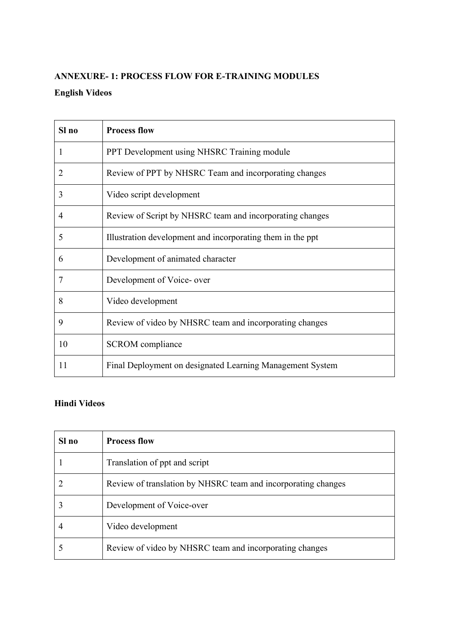# **ANNEXURE- 1: PROCESS FLOW FOR E-TRAINING MODULES English Videos**

| Sl no          | <b>Process flow</b>                                         |
|----------------|-------------------------------------------------------------|
| 1              | PPT Development using NHSRC Training module                 |
| 2              | Review of PPT by NHSRC Team and incorporating changes       |
| 3              | Video script development                                    |
| 4              | Review of Script by NHSRC team and incorporating changes    |
| 5              | Illustration development and incorporating them in the ppt. |
| 6              | Development of animated character                           |
| $\overline{7}$ | Development of Voice- over                                  |
| 8              | Video development                                           |
| 9              | Review of video by NHSRC team and incorporating changes     |
| 10             | <b>SCROM</b> compliance                                     |
| 11             | Final Deployment on designated Learning Management System   |

# **Hindi Videos**

| Sl no | <b>Process flow</b>                                           |
|-------|---------------------------------------------------------------|
|       | Translation of ppt and script                                 |
|       | Review of translation by NHSRC team and incorporating changes |
|       | Development of Voice-over                                     |
|       | Video development                                             |
|       | Review of video by NHSRC team and incorporating changes       |